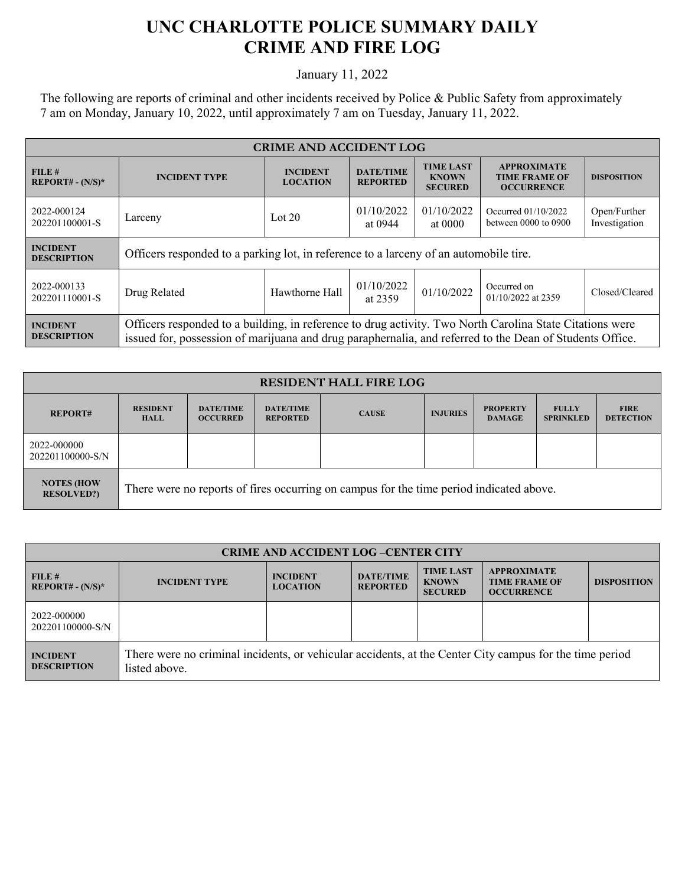## **UNC CHARLOTTE POLICE SUMMARY DAILY CRIME AND FIRE LOG**

January 11, 2022

The following are reports of criminal and other incidents received by Police & Public Safety from approximately 7 am on Monday, January 10, 2022, until approximately 7 am on Tuesday, January 11, 2022.

| <b>CRIME AND ACCIDENT LOG</b>         |                                                                                                                                                                                                                      |                                    |                                     |                                                    |                                                                 |                               |  |
|---------------------------------------|----------------------------------------------------------------------------------------------------------------------------------------------------------------------------------------------------------------------|------------------------------------|-------------------------------------|----------------------------------------------------|-----------------------------------------------------------------|-------------------------------|--|
| FILE#<br><b>REPORT# - (N/S)*</b>      | <b>INCIDENT TYPE</b>                                                                                                                                                                                                 | <b>INCIDENT</b><br><b>LOCATION</b> | <b>DATE/TIME</b><br><b>REPORTED</b> | <b>TIME LAST</b><br><b>KNOWN</b><br><b>SECURED</b> | <b>APPROXIMATE</b><br><b>TIME FRAME OF</b><br><b>OCCURRENCE</b> | <b>DISPOSITION</b>            |  |
| 2022-000124<br>202201100001-S         | Larceny                                                                                                                                                                                                              | Lot $20$                           | 01/10/2022<br>at 0944               | 01/10/2022<br>at 0000                              | Occurred 01/10/2022<br>between $0000$ to $0900$                 | Open/Further<br>Investigation |  |
| <b>INCIDENT</b><br><b>DESCRIPTION</b> | Officers responded to a parking lot, in reference to a larceny of an automobile tire.                                                                                                                                |                                    |                                     |                                                    |                                                                 |                               |  |
| 2022-000133<br>202201110001-S         | Drug Related                                                                                                                                                                                                         | Hawthorne Hall                     | 01/10/2022<br>at 2359               | 01/10/2022                                         | Occurred on<br>01/10/2022 at 2359                               | Closed/Cleared                |  |
| <b>INCIDENT</b><br><b>DESCRIPTION</b> | Officers responded to a building, in reference to drug activity. Two North Carolina State Citations were<br>issued for, possession of marijuana and drug paraphernalia, and referred to the Dean of Students Office. |                                    |                                     |                                                    |                                                                 |                               |  |

| <b>RESIDENT HALL FIRE LOG</b>           |                                                                                         |                                     |                                     |              |                 |                                  |                                  |                                 |
|-----------------------------------------|-----------------------------------------------------------------------------------------|-------------------------------------|-------------------------------------|--------------|-----------------|----------------------------------|----------------------------------|---------------------------------|
| <b>REPORT#</b>                          | <b>RESIDENT</b><br><b>HALL</b>                                                          | <b>DATE/TIME</b><br><b>OCCURRED</b> | <b>DATE/TIME</b><br><b>REPORTED</b> | <b>CAUSE</b> | <b>INJURIES</b> | <b>PROPERTY</b><br><b>DAMAGE</b> | <b>FULLY</b><br><b>SPRINKLED</b> | <b>FIRE</b><br><b>DETECTION</b> |
| 2022-000000<br>202201100000-S/N         |                                                                                         |                                     |                                     |              |                 |                                  |                                  |                                 |
| <b>NOTES (HOW)</b><br><b>RESOLVED?)</b> | There were no reports of fires occurring on campus for the time period indicated above. |                                     |                                     |              |                 |                                  |                                  |                                 |

| <b>CRIME AND ACCIDENT LOG-CENTER CITY</b> |                                                                                                                          |                                    |                                     |                                                    |                                                                 |                    |  |
|-------------------------------------------|--------------------------------------------------------------------------------------------------------------------------|------------------------------------|-------------------------------------|----------------------------------------------------|-----------------------------------------------------------------|--------------------|--|
| FILE H<br>$REPORT# - (N/S)*$              | <b>INCIDENT TYPE</b>                                                                                                     | <b>INCIDENT</b><br><b>LOCATION</b> | <b>DATE/TIME</b><br><b>REPORTED</b> | <b>TIME LAST</b><br><b>KNOWN</b><br><b>SECURED</b> | <b>APPROXIMATE</b><br><b>TIME FRAME OF</b><br><b>OCCURRENCE</b> | <b>DISPOSITION</b> |  |
| 2022-000000<br>202201100000-S/N           |                                                                                                                          |                                    |                                     |                                                    |                                                                 |                    |  |
| <b>INCIDENT</b><br><b>DESCRIPTION</b>     | There were no criminal incidents, or vehicular accidents, at the Center City campus for the time period<br>listed above. |                                    |                                     |                                                    |                                                                 |                    |  |